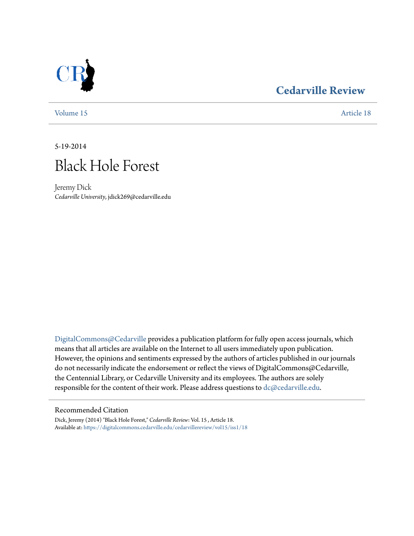# **[Cedarville Review](https://digitalcommons.cedarville.edu/cedarvillereview?utm_source=digitalcommons.cedarville.edu%2Fcedarvillereview%2Fvol15%2Fiss1%2F18&utm_medium=PDF&utm_campaign=PDFCoverPages)**

[Volume 15](https://digitalcommons.cedarville.edu/cedarvillereview/vol15?utm_source=digitalcommons.cedarville.edu%2Fcedarvillereview%2Fvol15%2Fiss1%2F18&utm_medium=PDF&utm_campaign=PDFCoverPages) [Article 18](https://digitalcommons.cedarville.edu/cedarvillereview/vol15/iss1/18?utm_source=digitalcommons.cedarville.edu%2Fcedarvillereview%2Fvol15%2Fiss1%2F18&utm_medium=PDF&utm_campaign=PDFCoverPages)

5-19-2014



Jeremy Dick *Cedarville University*, jdick269@cedarville.edu

[DigitalCommons@Cedarville](http://digitalcommons.cedarville.edu) provides a publication platform for fully open access journals, which means that all articles are available on the Internet to all users immediately upon publication. However, the opinions and sentiments expressed by the authors of articles published in our journals do not necessarily indicate the endorsement or reflect the views of DigitalCommons@Cedarville, the Centennial Library, or Cedarville University and its employees. The authors are solely responsible for the content of their work. Please address questions to [dc@cedarville.edu](mailto:dc@cedarville.edu).

### Recommended Citation

Dick, Jeremy (2014) "Black Hole Forest," *Cedarville Review*: Vol. 15 , Article 18. Available at: [https://digitalcommons.cedarville.edu/cedarvillereview/vol15/iss1/18](https://digitalcommons.cedarville.edu/cedarvillereview/vol15/iss1/18?utm_source=digitalcommons.cedarville.edu%2Fcedarvillereview%2Fvol15%2Fiss1%2F18&utm_medium=PDF&utm_campaign=PDFCoverPages)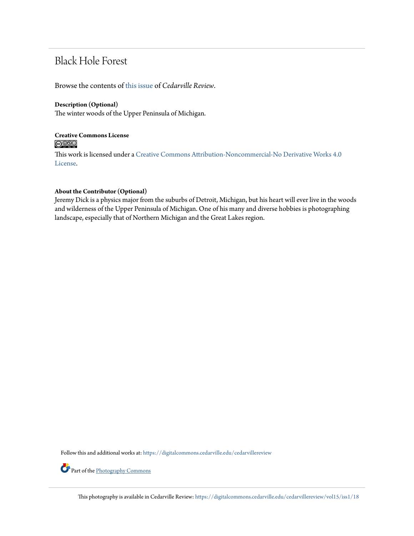# Black Hole Forest

Browse the contents of [this issue](https://digitalcommons.cedarville.edu/cedarvillereview/vol15/iss1) of *Cedarville Review*.

### **Description (Optional)**

The winter woods of the Upper Peninsula of Michigan.

## **Creative Commons License**  $\bigcirc$   $\circ$

This work is licensed under a [Creative Commons Attribution-Noncommercial-No Derivative Works 4.0](http://creativecommons.org/licenses/by-nc-nd/4.0/) [License.](http://creativecommons.org/licenses/by-nc-nd/4.0/)

## **About the Contributor (Optional)**

Jeremy Dick is a physics major from the suburbs of Detroit, Michigan, but his heart will ever live in the woods and wilderness of the Upper Peninsula of Michigan. One of his many and diverse hobbies is photographing landscape, especially that of Northern Michigan and the Great Lakes region.

Follow this and additional works at: [https://digitalcommons.cedarville.edu/cedarvillereview](https://digitalcommons.cedarville.edu/cedarvillereview?utm_source=digitalcommons.cedarville.edu%2Fcedarvillereview%2Fvol15%2Fiss1%2F18&utm_medium=PDF&utm_campaign=PDFCoverPages)

Part of the [Photography Commons](http://network.bepress.com/hgg/discipline/1142?utm_source=digitalcommons.cedarville.edu%2Fcedarvillereview%2Fvol15%2Fiss1%2F18&utm_medium=PDF&utm_campaign=PDFCoverPages)